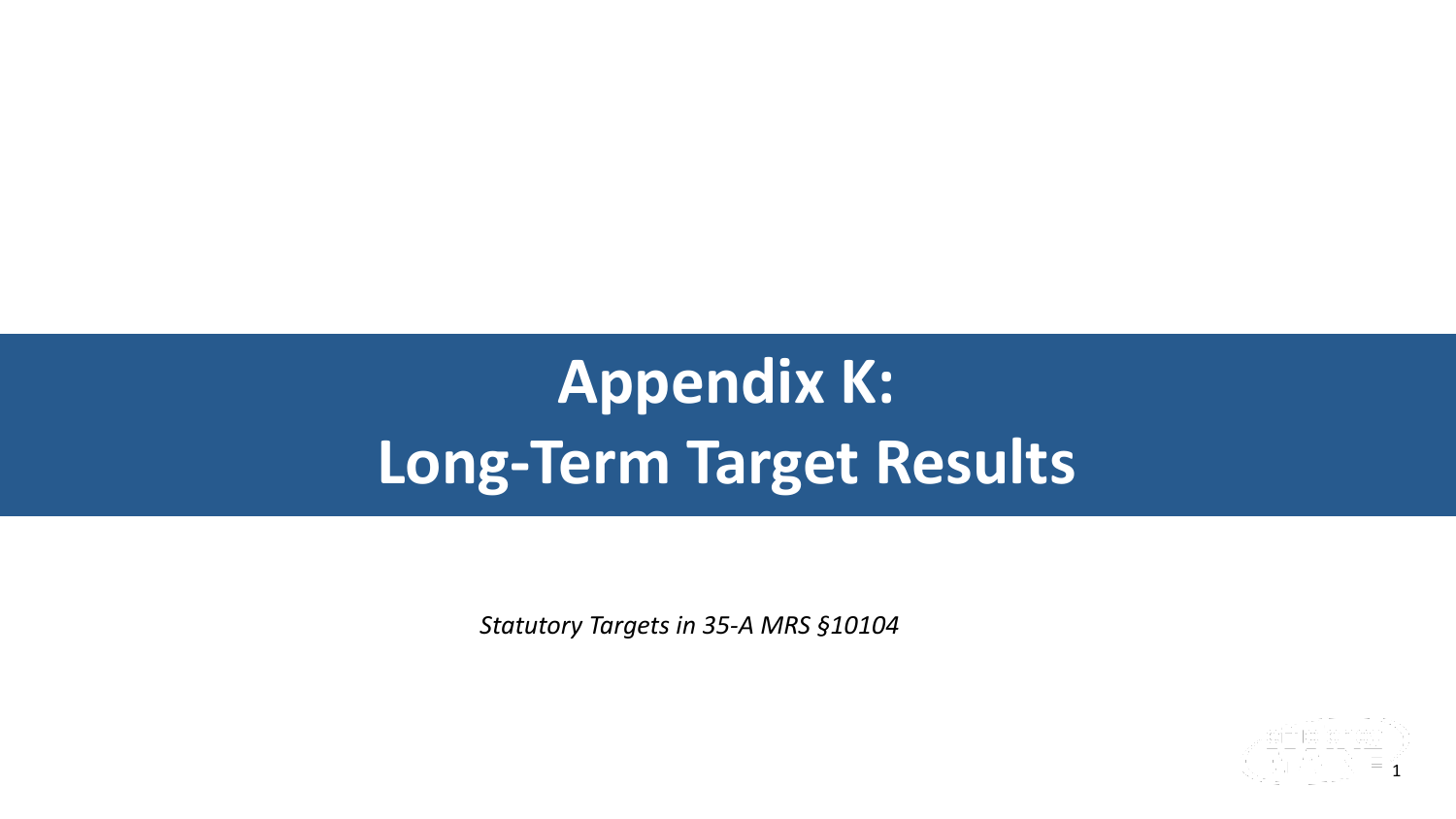1

**Appendix K: Long-Term Target Results**



*Statutory Targets in 35-A MRS §10104*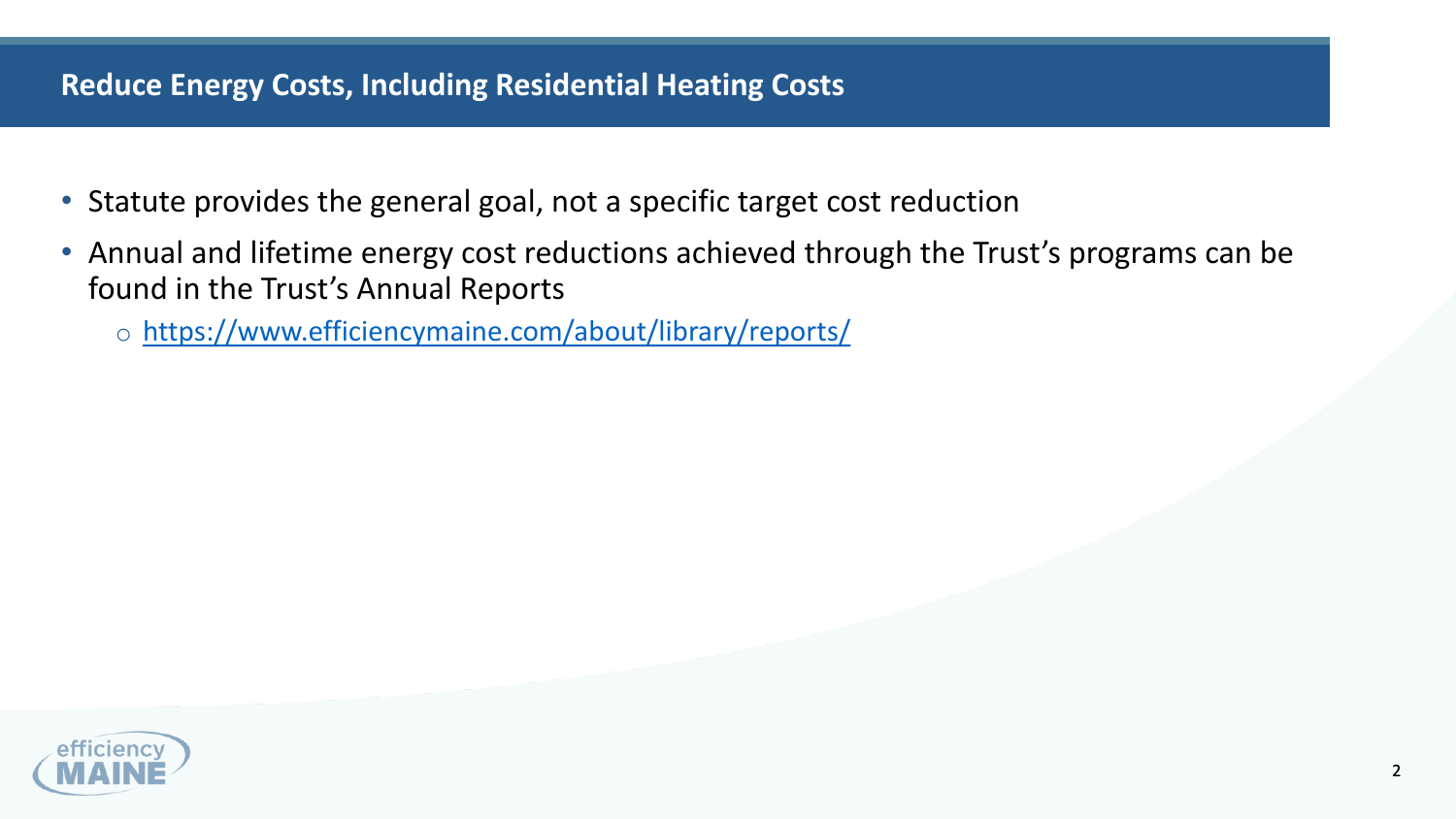

# **Reduce Energy Costs, Including Residential Heating Costs**

- Statute provides the general goal, not a specific target cost reduction
- Annual and lifetime energy cost reductions achieved through the Trust's programs can be found in the Trust's Annual Reports
	- o <https://www.efficiencymaine.com/about/library/reports/>

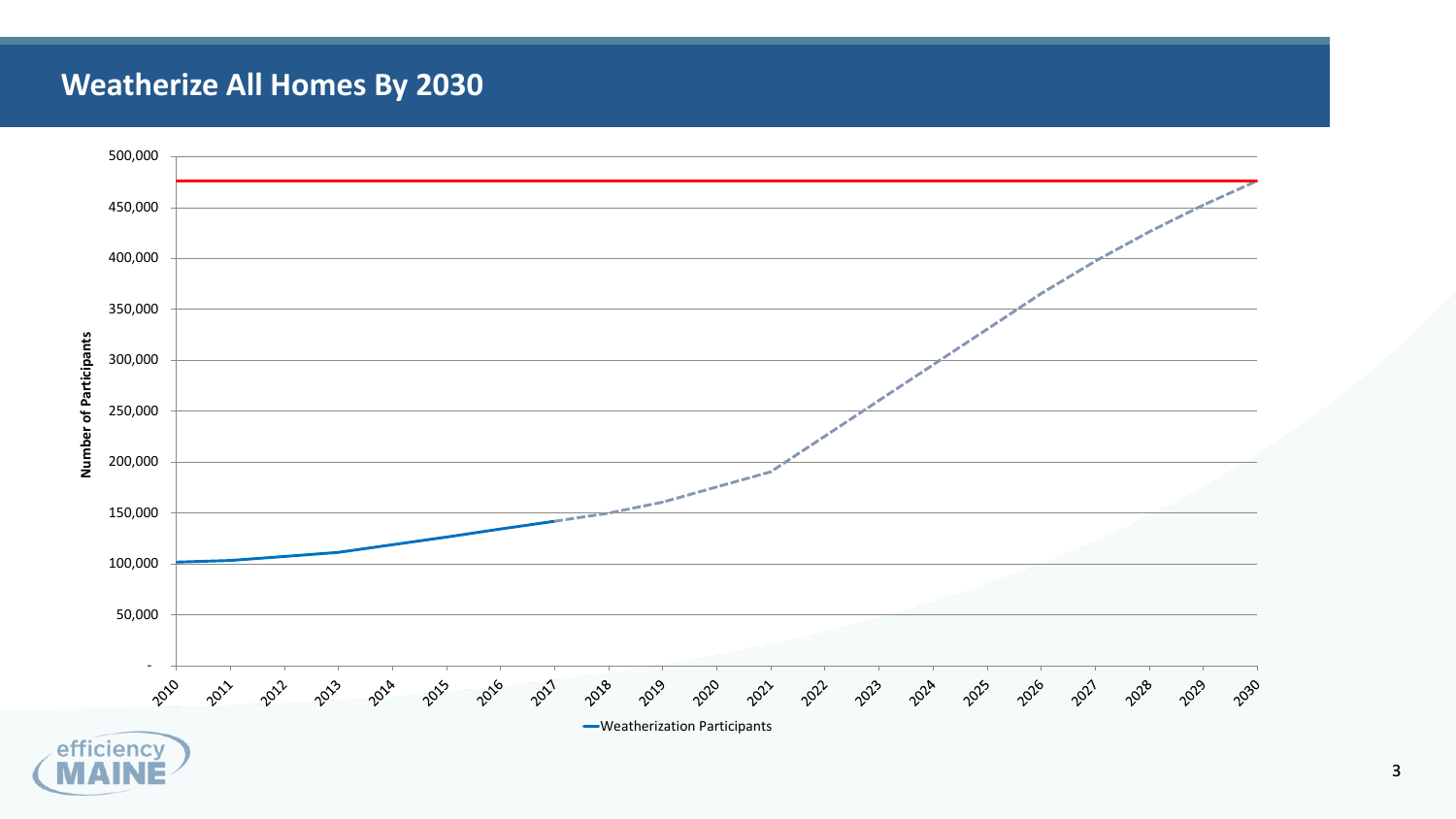

## **Weatherize All Homes By 2030**



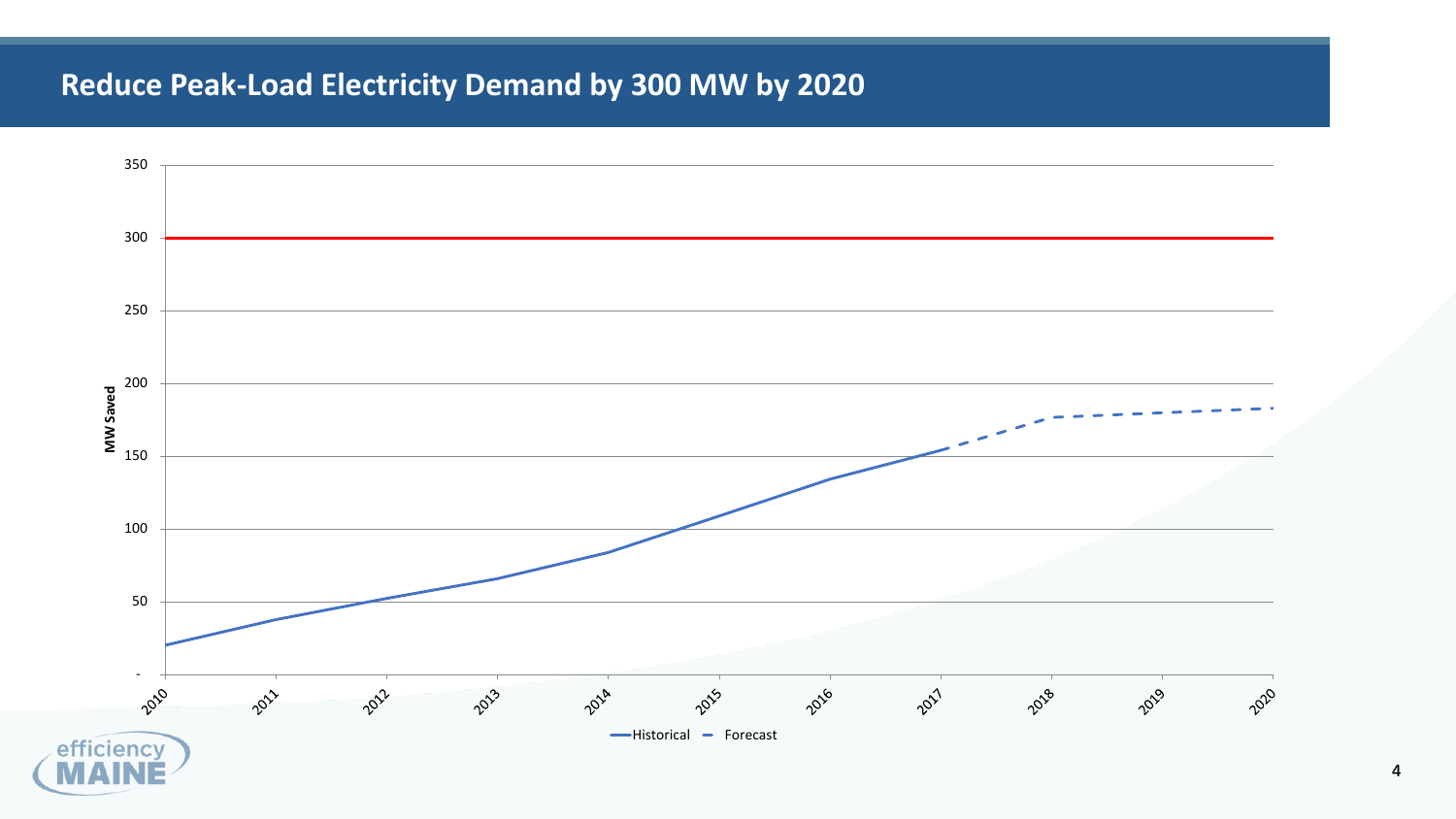

# **Reduce Peak-Load Electricity Demand by 300 MW by 2020**

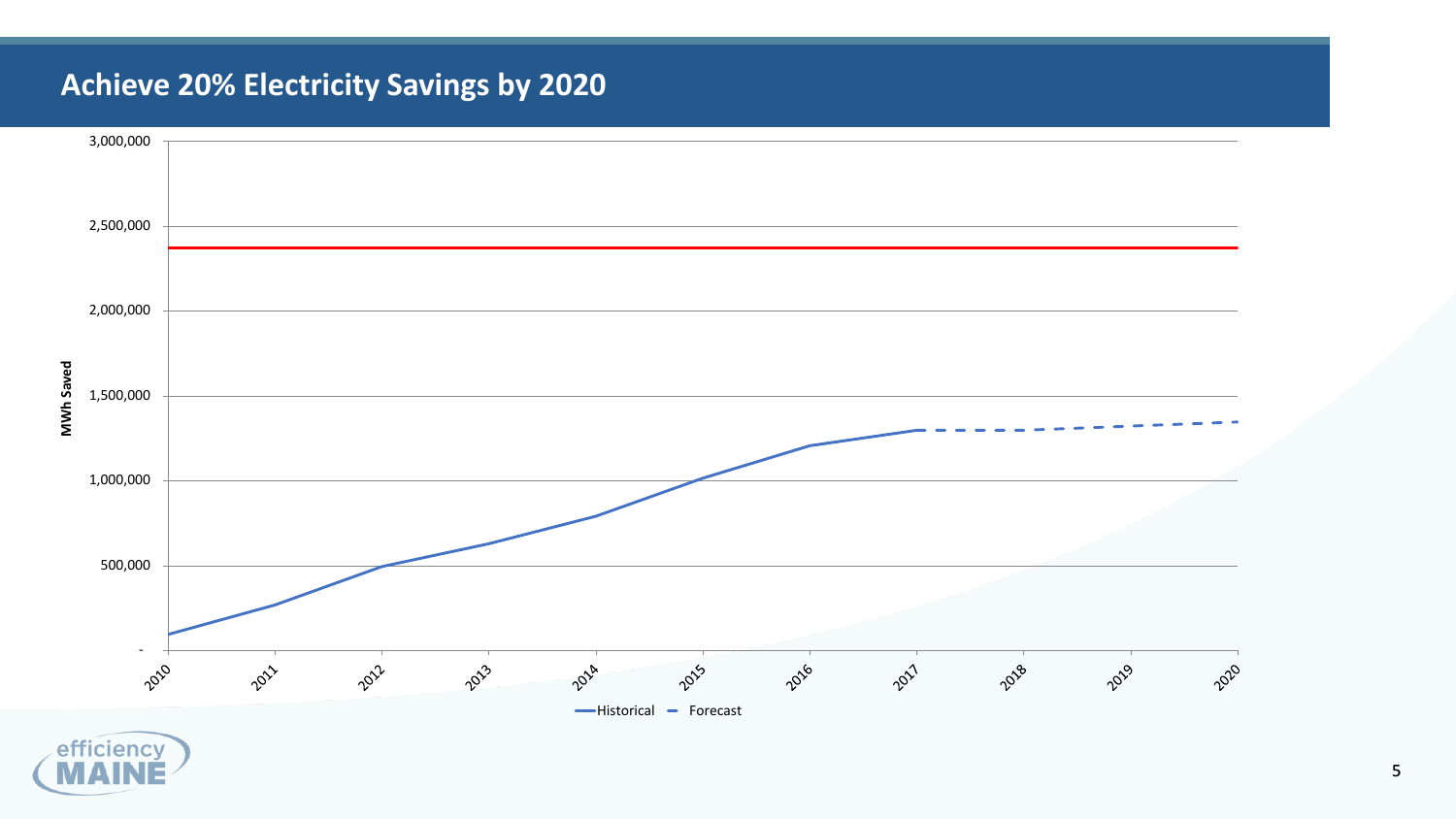



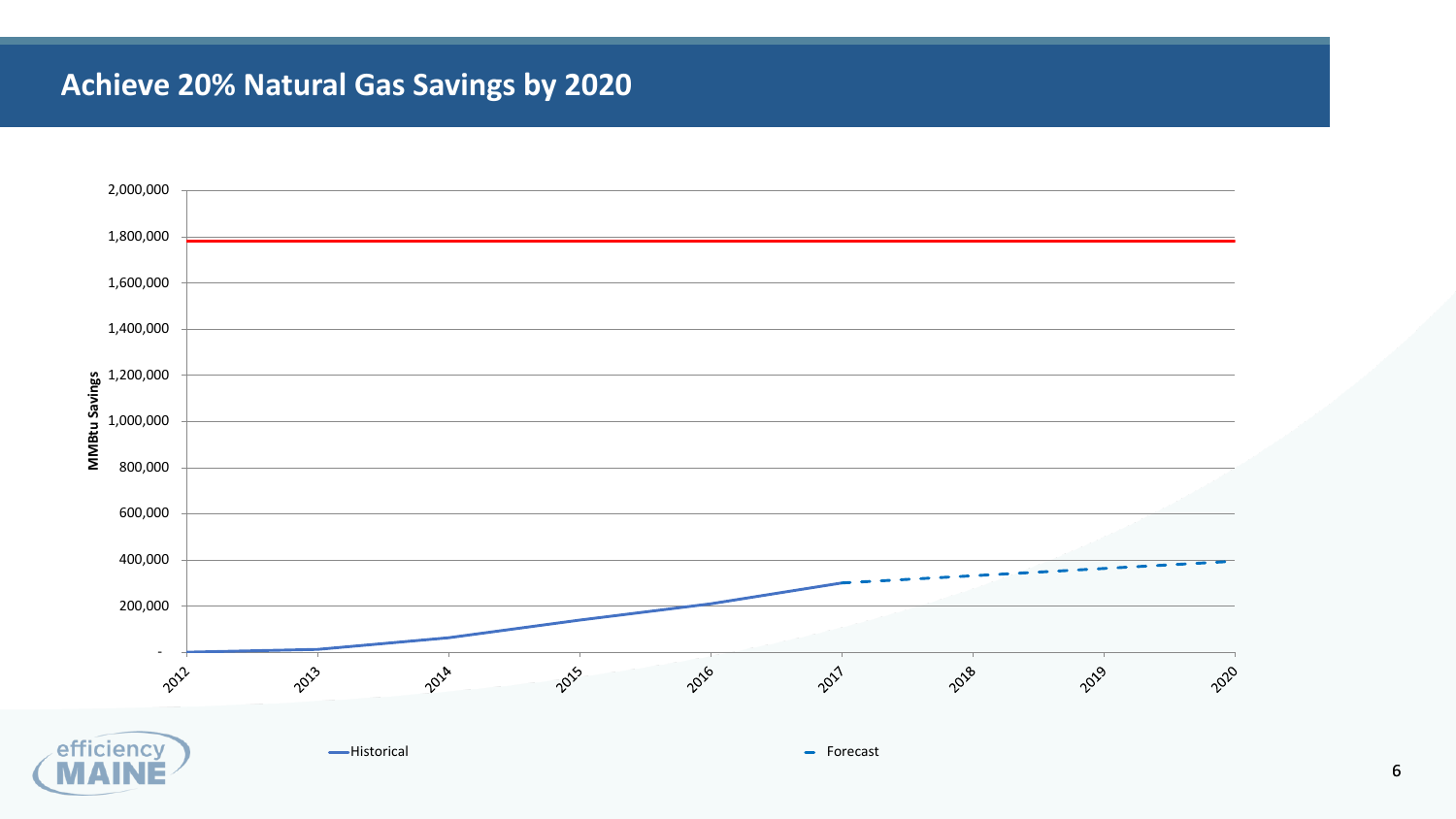

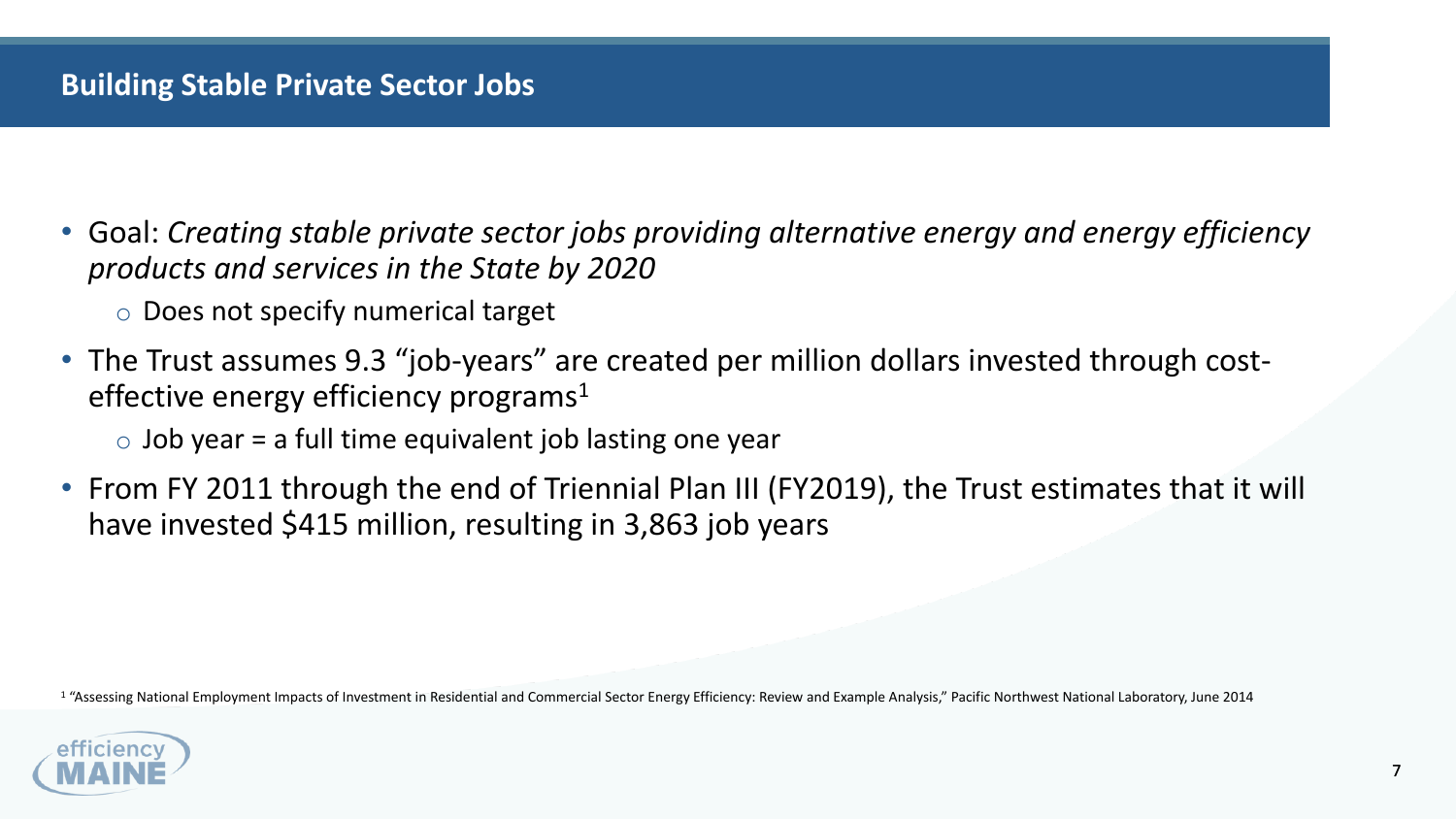

## **Building Stable Private Sector Jobs**

• Goal: *Creating stable private sector jobs providing alternative energy and energy efficiency* 

• From FY 2011 through the end of Triennial Plan III (FY2019), the Trust estimates that it will

- *products and services in the State by 2020* o Does not specify numerical target
- The Trust assumes 9.3 "job-years" are created per million dollars invested through costeffective energy efficiency programs<sup>1</sup>
	- $\circ$  Job year = a full time equivalent job lasting one year
- have invested \$415 million, resulting in 3,863 job years

<sup>1</sup> "Assessing National Employment Impacts of Investment in Residential and Commercial Sector Energy Efficiency: Review and Example Analysis," Pacific Northwest National Laboratory, June 2014